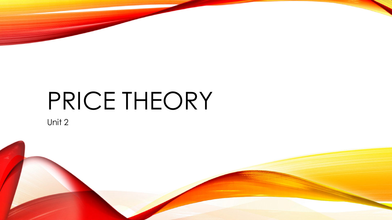# PRICE THEORY

Unit 2

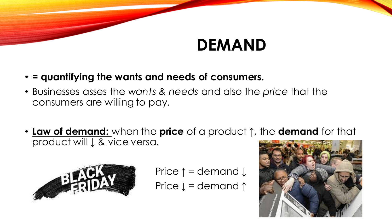## **DEMAND**

#### • **= quantifying the wants and needs of consumers.**

- Businesses asses the *wants & needs* and also the *price* that the consumers are willing to pay.
- **Law of demand:** when the **price** of a product **↑**, the **demand** for that product will **↓** & vice versa.



Price ↑ = demand ↓ Price ↓ = demand ↑

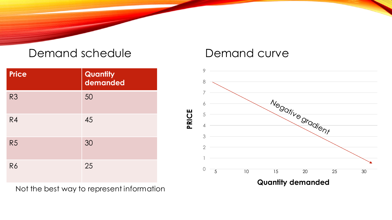#### Demand schedule

| <b>Price</b>   | <b>Quantity</b><br>demanded |
|----------------|-----------------------------|
| R <sub>3</sub> | 50                          |
| R4             | 45                          |
| R <sub>5</sub> | 30                          |
| <b>R6</b>      | 25                          |

Not the best way to represent information

#### Demand curve

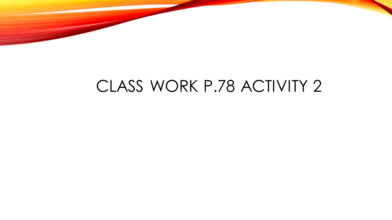

### CLASS WORK P.78 ACTIVITY 2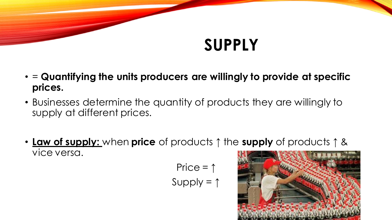# **SUPPLY**

- = **Quantifying the units producers are willingly to provide at specific prices.**
- Businesses determine the quantity of products they are willingly to supply at different prices.
- **Law of supply:** when **price** of products ↑ the **supply** of products ↑ & vice versa.

$$
Price = \uparrow
$$
  
Supply =  $\uparrow$ 

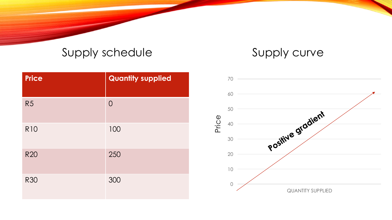#### Supply schedule

#### Supply curve

| <b>Price</b>   | <b>Quantity supplied</b> |
|----------------|--------------------------|
| R <sub>5</sub> | $\overline{O}$           |
| <b>R10</b>     | 100                      |
| <b>R20</b>     | 250                      |
| <b>R30</b>     | 300                      |

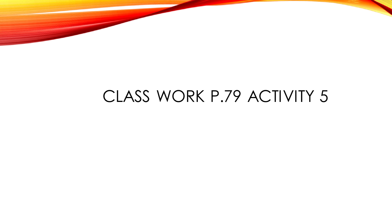### CLASS WORK P.79 ACTIVITY 5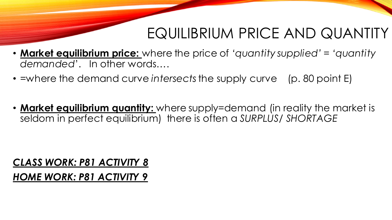### EQUILIBRIUM PRICE AND QUANTITY

- **Market equilibrium price:** where the price of *'quantity supplied' = 'quantity demanded*'. In other words….
- =where the demand curve *intersects*the supply curve (p. 80 point E)
- **Market equilibrium quantity:** where supply=demand (in reality the market is seldom in perfect equilibrium) there is often a *SURPLUS/ SHORTAGE*

#### *CLASS WORK: P81 ACTIVITY 8*

#### *HOME WORK: P81 ACTIVITY 9*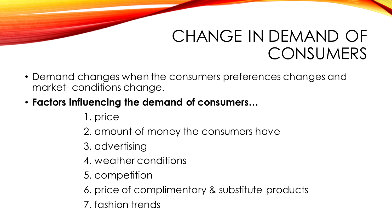### CHANGE IN DEMAND OF **CONSUMERS**

- Demand changes when the consumers preferences changes and market- conditions change.
- **Factors influencing the demand of consumers…**
	- 1. price
	- 2. amount of money the consumers have
	- 3. advertising
	- 4. weather conditions
	- 5. competition
	- 6. price of complimentary & substitute products
	- 7. fashion trends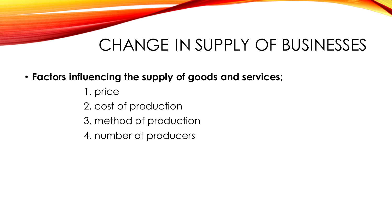## CHANGE IN SUPPLY OF BUSINESSES

#### • **Factors influencing the supply of goods and services;**

- 1. price
- 2. cost of production
- 3. method of production
- 4. number of producers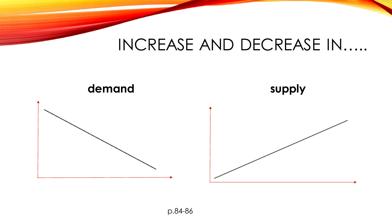### INCREASE AND DECREASE IN…..